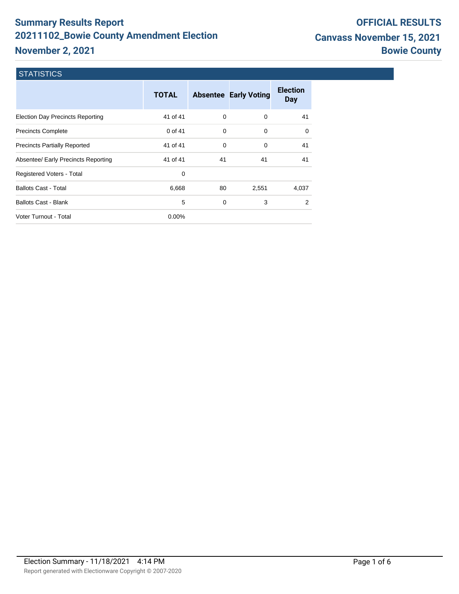# **Summary Results Report 20211102\_Bowie County Amendment Election November 2, 2021**

# **STATISTICS**

|                                         | <b>TOTAL</b> |          | <b>Absentee Early Voting</b> | <b>Election</b><br>Day |
|-----------------------------------------|--------------|----------|------------------------------|------------------------|
| <b>Election Day Precincts Reporting</b> | 41 of 41     | $\Omega$ | $\Omega$                     | 41                     |
| <b>Precincts Complete</b>               | 0 of 41      | $\Omega$ | 0                            | $\Omega$               |
| <b>Precincts Partially Reported</b>     | 41 of 41     | 0        | 0                            | 41                     |
| Absentee/ Early Precincts Reporting     | 41 of 41     | 41       | 41                           | 41                     |
| Registered Voters - Total               | 0            |          |                              |                        |
| <b>Ballots Cast - Total</b>             | 6,668        | 80       | 2,551                        | 4,037                  |
| <b>Ballots Cast - Blank</b>             | 5            | 0        | 3                            | 2                      |
| Voter Turnout - Total                   | $0.00\%$     |          |                              |                        |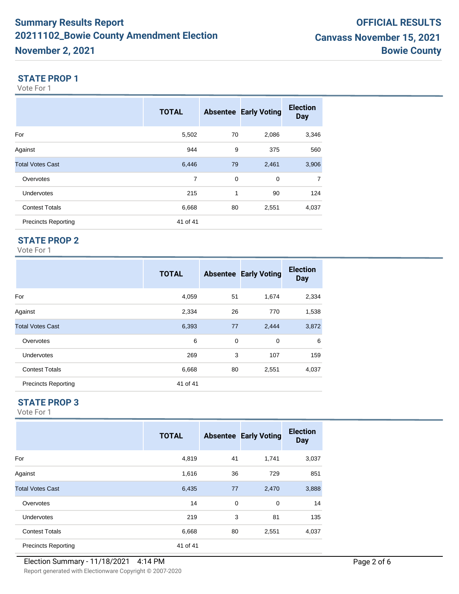#### **STATE PROP 1**

Vote For 1

|                            | <b>TOTAL</b> |    | <b>Absentee Early Voting</b> | <b>Election</b><br><b>Day</b> |
|----------------------------|--------------|----|------------------------------|-------------------------------|
| For                        | 5,502        | 70 | 2,086                        | 3,346                         |
| Against                    | 944          | 9  | 375                          | 560                           |
| <b>Total Votes Cast</b>    | 6,446        | 79 | 2,461                        | 3,906                         |
| Overvotes                  | 7            | 0  | 0                            | $\overline{7}$                |
| <b>Undervotes</b>          | 215          | 1  | 90                           | 124                           |
| <b>Contest Totals</b>      | 6,668        | 80 | 2,551                        | 4,037                         |
| <b>Precincts Reporting</b> | 41 of 41     |    |                              |                               |

# **STATE PROP 2**

Vote For 1

|                            | <b>TOTAL</b> |    | <b>Absentee Early Voting</b> | <b>Election</b><br><b>Day</b> |
|----------------------------|--------------|----|------------------------------|-------------------------------|
| For                        | 4,059        | 51 | 1,674                        | 2,334                         |
| Against                    | 2,334        | 26 | 770                          | 1,538                         |
| <b>Total Votes Cast</b>    | 6,393        | 77 | 2,444                        | 3,872                         |
| Overvotes                  | 6            | 0  | $\mathbf 0$                  | 6                             |
| Undervotes                 | 269          | 3  | 107                          | 159                           |
| <b>Contest Totals</b>      | 6,668        | 80 | 2,551                        | 4,037                         |
| <b>Precincts Reporting</b> | 41 of 41     |    |                              |                               |

# **STATE PROP 3**

|                            | <b>TOTAL</b> |    | <b>Absentee Early Voting</b> | <b>Election</b><br><b>Day</b> |
|----------------------------|--------------|----|------------------------------|-------------------------------|
| For                        | 4,819        | 41 | 1,741                        | 3,037                         |
| Against                    | 1,616        | 36 | 729                          | 851                           |
| <b>Total Votes Cast</b>    | 6,435        | 77 | 2,470                        | 3,888                         |
| Overvotes                  | 14           | 0  | 0                            | 14                            |
| Undervotes                 | 219          | 3  | 81                           | 135                           |
| <b>Contest Totals</b>      | 6,668        | 80 | 2,551                        | 4,037                         |
| <b>Precincts Reporting</b> | 41 of 41     |    |                              |                               |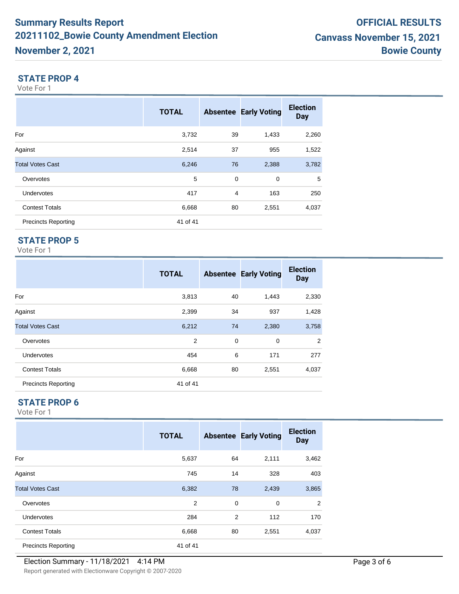#### **STATE PROP 4**

Vote For 1

|                            | <b>TOTAL</b> |    | <b>Absentee Early Voting</b> | <b>Election</b><br><b>Day</b> |
|----------------------------|--------------|----|------------------------------|-------------------------------|
| For                        | 3,732        | 39 | 1,433                        | 2,260                         |
| Against                    | 2,514        | 37 | 955                          | 1,522                         |
| <b>Total Votes Cast</b>    | 6,246        | 76 | 2,388                        | 3,782                         |
| Overvotes                  | 5            | 0  | $\mathbf 0$                  | 5                             |
| <b>Undervotes</b>          | 417          | 4  | 163                          | 250                           |
| <b>Contest Totals</b>      | 6,668        | 80 | 2,551                        | 4,037                         |
| <b>Precincts Reporting</b> | 41 of 41     |    |                              |                               |

# **STATE PROP 5**

Vote For 1

|                            | <b>TOTAL</b> |    | <b>Absentee Early Voting</b> | <b>Election</b><br><b>Day</b> |
|----------------------------|--------------|----|------------------------------|-------------------------------|
| For                        | 3,813        | 40 | 1,443                        | 2,330                         |
| Against                    | 2,399        | 34 | 937                          | 1,428                         |
| <b>Total Votes Cast</b>    | 6,212        | 74 | 2,380                        | 3,758                         |
| Overvotes                  | 2            | 0  | $\mathbf 0$                  | 2                             |
| <b>Undervotes</b>          | 454          | 6  | 171                          | 277                           |
| <b>Contest Totals</b>      | 6,668        | 80 | 2,551                        | 4,037                         |
| <b>Precincts Reporting</b> | 41 of 41     |    |                              |                               |

#### **STATE PROP 6**

|                            | <b>TOTAL</b> |    | <b>Absentee Early Voting</b> | <b>Election</b><br><b>Day</b> |
|----------------------------|--------------|----|------------------------------|-------------------------------|
| For                        | 5,637        | 64 | 2,111                        | 3,462                         |
| Against                    | 745          | 14 | 328                          | 403                           |
| <b>Total Votes Cast</b>    | 6,382        | 78 | 2,439                        | 3,865                         |
| Overvotes                  | 2            | 0  | 0                            | 2                             |
| <b>Undervotes</b>          | 284          | 2  | 112                          | 170                           |
| <b>Contest Totals</b>      | 6,668        | 80 | 2,551                        | 4,037                         |
| <b>Precincts Reporting</b> | 41 of 41     |    |                              |                               |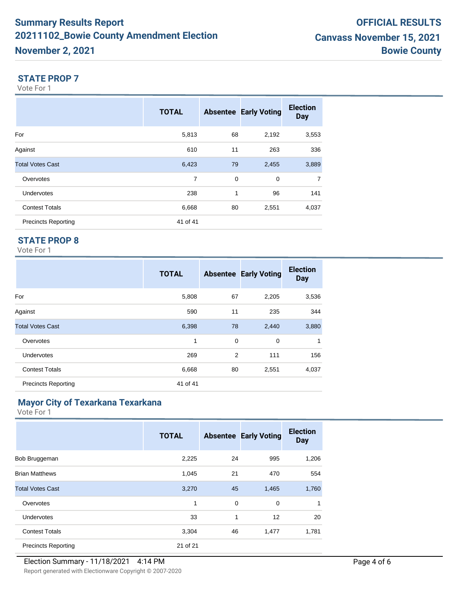#### **STATE PROP 7**

Vote For 1

|                            | <b>TOTAL</b> |    | <b>Absentee Early Voting</b> | <b>Election</b><br><b>Day</b> |
|----------------------------|--------------|----|------------------------------|-------------------------------|
| For                        | 5,813        | 68 | 2,192                        | 3,553                         |
| Against                    | 610          | 11 | 263                          | 336                           |
| <b>Total Votes Cast</b>    | 6,423        | 79 | 2,455                        | 3,889                         |
| Overvotes                  | 7            | 0  | $\mathbf 0$                  | $\overline{7}$                |
| <b>Undervotes</b>          | 238          | 1  | 96                           | 141                           |
| <b>Contest Totals</b>      | 6,668        | 80 | 2,551                        | 4,037                         |
| <b>Precincts Reporting</b> | 41 of 41     |    |                              |                               |

# **STATE PROP 8**

Vote For 1

|                            | <b>TOTAL</b> |    | <b>Absentee Early Voting</b> | <b>Election</b><br><b>Day</b> |
|----------------------------|--------------|----|------------------------------|-------------------------------|
| For                        | 5,808        | 67 | 2,205                        | 3,536                         |
| Against                    | 590          | 11 | 235                          | 344                           |
| <b>Total Votes Cast</b>    | 6,398        | 78 | 2,440                        | 3,880                         |
| Overvotes                  | 1            | 0  | $\mathbf 0$                  | 1                             |
| Undervotes                 | 269          | 2  | 111                          | 156                           |
| <b>Contest Totals</b>      | 6,668        | 80 | 2,551                        | 4,037                         |
| <b>Precincts Reporting</b> | 41 of 41     |    |                              |                               |

# **Mayor City of Texarkana Texarkana**

|                            | <b>TOTAL</b> |    | <b>Absentee Early Voting</b> | <b>Election</b><br><b>Day</b> |
|----------------------------|--------------|----|------------------------------|-------------------------------|
| Bob Bruggeman              | 2,225        | 24 | 995                          | 1,206                         |
| <b>Brian Matthews</b>      | 1,045        | 21 | 470                          | 554                           |
| <b>Total Votes Cast</b>    | 3,270        | 45 | 1,465                        | 1,760                         |
| Overvotes                  | 1            | 0  | $\mathbf 0$                  | $\mathbf{1}$                  |
| <b>Undervotes</b>          | 33           | 1  | 12                           | 20                            |
| <b>Contest Totals</b>      | 3,304        | 46 | 1,477                        | 1,781                         |
| <b>Precincts Reporting</b> | 21 of 21     |    |                              |                               |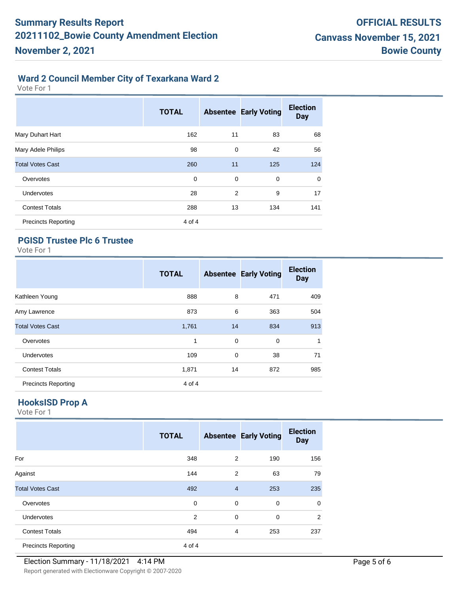# **Ward 2 Council Member City of Texarkana Ward 2**

Vote For 1

|                            | <b>TOTAL</b> |             | <b>Absentee Early Voting</b> | <b>Election</b><br><b>Day</b> |
|----------------------------|--------------|-------------|------------------------------|-------------------------------|
| Mary Duhart Hart           | 162          | 11          | 83                           | 68                            |
| Mary Adele Philips         | 98           | 0           | 42                           | 56                            |
| <b>Total Votes Cast</b>    | 260          | 11          | 125                          | 124                           |
| Overvotes                  | 0            | $\mathbf 0$ | $\mathbf 0$                  | 0                             |
| <b>Undervotes</b>          | 28           | 2           | 9                            | 17                            |
| <b>Contest Totals</b>      | 288          | 13          | 134                          | 141                           |
| <b>Precincts Reporting</b> | 4 of 4       |             |                              |                               |

# **PGISD Trustee Plc 6 Trustee**

Vote For 1

|                            | <b>TOTAL</b> |    | <b>Absentee Early Voting</b> | <b>Election</b><br><b>Day</b> |
|----------------------------|--------------|----|------------------------------|-------------------------------|
| Kathleen Young             | 888          | 8  | 471                          | 409                           |
| Amy Lawrence               | 873          | 6  | 363                          | 504                           |
| <b>Total Votes Cast</b>    | 1,761        | 14 | 834                          | 913                           |
| Overvotes                  | 1            | 0  | 0                            | 1                             |
| <b>Undervotes</b>          | 109          | 0  | 38                           | 71                            |
| <b>Contest Totals</b>      | 1,871        | 14 | 872                          | 985                           |
| <b>Precincts Reporting</b> | 4 of 4       |    |                              |                               |

# **HooksISD Prop A**

|                            | <b>TOTAL</b> |                | <b>Absentee Early Voting</b> | <b>Election</b><br><b>Day</b> |
|----------------------------|--------------|----------------|------------------------------|-------------------------------|
| For                        | 348          | 2              | 190                          | 156                           |
| Against                    | 144          | 2              | 63                           | 79                            |
| <b>Total Votes Cast</b>    | 492          | $\overline{4}$ | 253                          | 235                           |
| Overvotes                  | 0            | $\mathbf 0$    | $\mathbf 0$                  | $\mathbf 0$                   |
| <b>Undervotes</b>          | 2            | $\mathbf 0$    | $\mathbf 0$                  | $\overline{2}$                |
| <b>Contest Totals</b>      | 494          | 4              | 253                          | 237                           |
| <b>Precincts Reporting</b> | 4 of 4       |                |                              |                               |